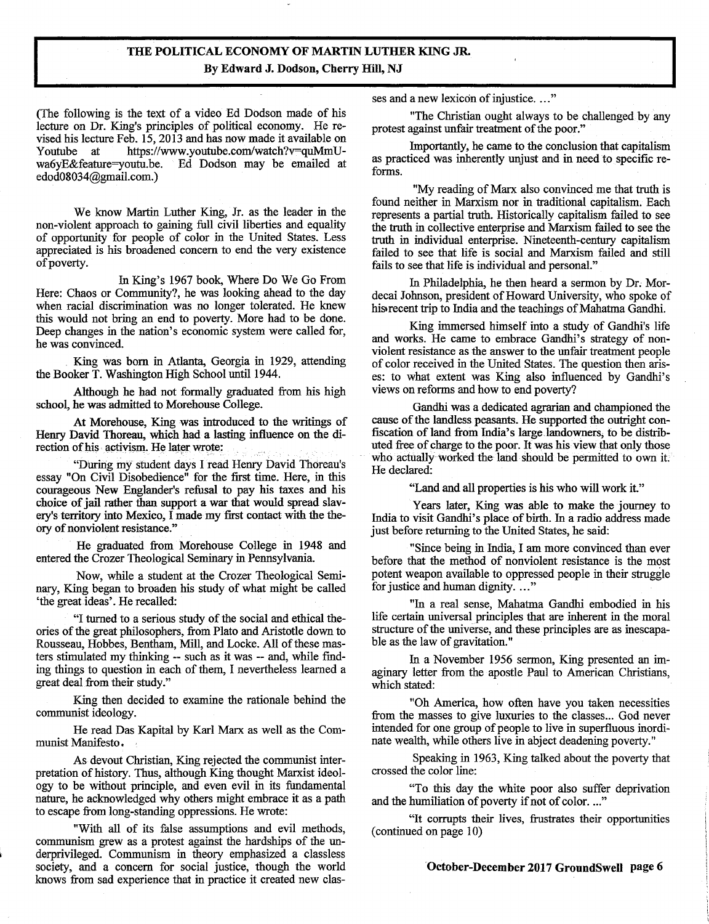## **THE POLITICAL ECONOMY OF MARTIN LUTHER KING JR. By Edward J. Dodson, Cherry Hill, NJ**

(The following is the text of a video Ed Dodson made of his lecture on Dr. King's principles of political economy. He revised his lecture Feb. *15,* 2013 and has now made it available on Youtube at https://www.youtube.com/watch?v=quMmU-<br>wa6yE&feature=youtu.be. Ed Dodson may be emailed at Ed Dodson may be emailed at edod08034@gmail.com.)

We know Martin Luther King, Jr. as the leader in the non-violent approach to gaining full civil liberties and equality of opportunity for people of color in the United States. Less appreciated is his broadened concern to end the very existence of poverty.

In King's 1967 book, Where Do We Go From Here: Chaos or Community?, he was looking ahead to the day when racial discrimination was no longer tolerated. He knew this would not bring an end to poverty. More had to be done. Deep changes in the nation's economic system were called for, he was convinced.

King was born in Atlanta, Georgia in 1929, attending the Booker T. Washington High School until 1944.

Although he had not formally graduated from his high school, he was admitted to Morehouse College.

At Morehouse, King was introduced to the writings of Henry David Thoreau, which had a lasting influence on the direction of his activism. He later wrote:

"During my student days I read Henry David Thoreau's essay "On Civil Disobedience" for the first time. Here, in this courageous New Englander's refusal to pay his taxes and his choice of jail rather than support a war that would spread slavery's territory into Mexico, I made my first contact with the theory of nonviolent resistance."

He graduated from Morehouse College in 1948 and entered the Crozer Theological Seminary in Pennsylvania.

Now, while a student at the Crozer Theological Seminary, King began to broaden his study of what might be called 'the great ideas'. He recalled:

"I turned to a serious study of the social and ethical theories of the great philosophers, from Plato and Aristotle down to Rousseau, Hobbes, Bentham, Mill, and Locke. All of these masters stimulated my thinking -- such as it was -- and, while finding things to question in each of them, I nevertheless learned a great deal from their study."

King then decided to examine the rationale behind the communist ideology.

He read Das Kapital by Karl Marx as well as the Communist Manifesto.

As devout Christian, King rejected the communist interpretation of history. Thus, although King thought Marxist ideology to be without principle, and even evil in its fundamental nature, he acknowledged why others might embrace it as a path to escape from long-standing oppressions. He wrote:

"With all of its false assumptions and evil methods, communism grew as a protest against the hardships of the underprivileged. Communism in theory emphasized a classless society, and a concern for social justice, though the world knows from sad experience that in practice it created new classes and a new lexicon of injustice. ..."

"The Christian ought always to be challenged by any protest against unfair treatment of the poor."

Importantly, he came to the conclusion that capitalism as practiced was inherently unjust and in need to specific reforms.

"My reading of Marx also convinced me that truth is found neither in Marxism nor in traditional capitalism. Each represents a partial truth. Historically capitalism failed to see the truth in collective enterprise and Marxism failed to see the truth in individual enterprise. Nineteenth-century capitalism failed to see that life is social and Marxism failed and still fails to see that life is individual and personal."

In Philadelphia, he then heard a sermon by Dr. Mordecai Johnson, president of Howard University, who spoke of his recent trip to India and the teachings of Mahatma Gandhi.

King immersed himself into a study of Gandhi's life and works. He came to embrace Gandhi's strategy of nonviolent resistance as the answer to the unfair treatment people of color received in the United States. The question then arises: to what extent was King also influenced by Gandhi's views on reforms and how to end poverty?

Gandhi was a dedicated agrarian and championed the cause of the landless peasants. He supported the outright confiscation of land from India's large landowners, to be distributed free of charge to the poor. It was his view that only those who actually worked the land should be permitted to own it. He declared:

"Land and all properties is his who will work it."

Years later, King was able to make the journey to India to visit Gandhi's place of birth. In a radio address made just before returning to the United States, he said:

"Since being in India, I am more convinced than ever before that the method of nonviolent resistance is the most potent weapon available to oppressed people in their struggle for justice and human dignity. ..."

"In a real sense, Mahatma Gandhi embodied in his life certain universal principles that are inherent in the moral structure of the universe, and these principles are as inescapable as the law of gravitation."

In a November *1956* sermon, King presented an imaginary letter from the apostle Paul to American Christians, which stated:

"Oh America, how often have you taken necessities from the masses to give luxuries to the classes... God never intended for one group of people to live in superfluous inordinate wealth, while others live in abject deadening poverty."

Speaking in 1963, King talked about the poverty that crossed the color line:

"To this day the white poor also suffer deprivation and the humiliation of poverty if not of color. ..."

"It corrupts their lives, frustrates their opportunities (continued on page 10)

**October-December 2017 GroundSwell page 6**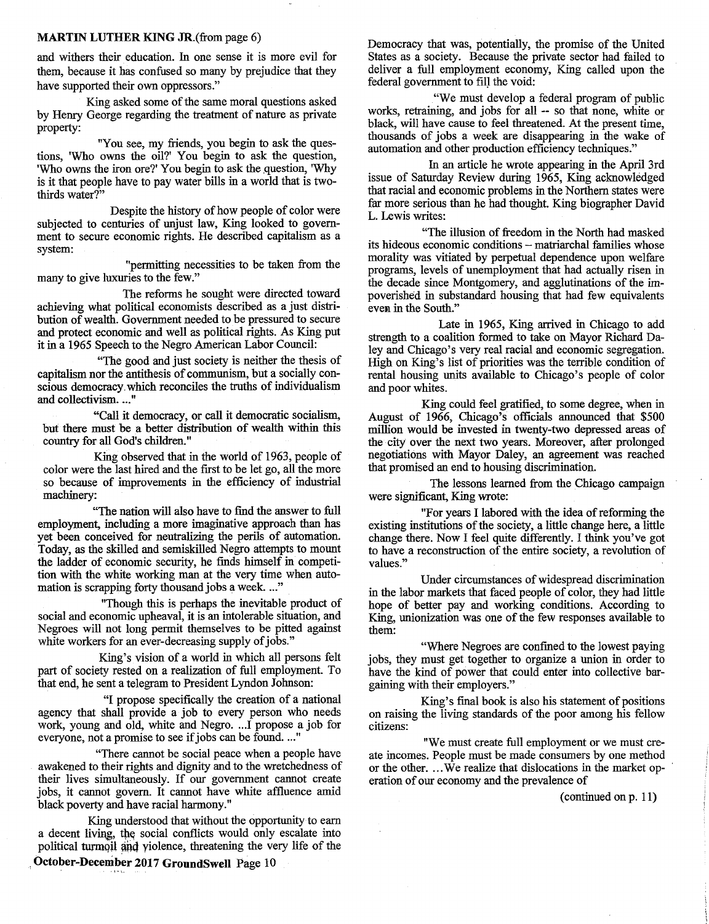## **MARTIN LUTHER KING JR.(from page 6)**

and withers their education. In one sense it is more evil for them, because it has confused so many by prejudice that they have supported their own oppressors."

King asked some of the same moral questions asked by Henry George regarding the treatment of nature as private property:

"You see, my friends, you begin to ask the questions, 'Who owns the oil?' You begin to ask the question, 'Who owns the iron ore?' You begin to ask the question, 'Why is it that people have to pay water bills in a world that is twothirds water?"

Despite the history of how people of color were subjected to centuries of unjust law, King looked to government to secure economic rights. He described capitalism as a system:

"permitting necessities to be taken from the many to give luxuries to the few."

The reforms he sought were directed toward achieving what political economists described as a just distribution of wealth. Government needed to be pressured to secure and protect economic and well as political rights. As King put it in a 1965 Speech to the Negro American Labor Council:

"The good and just society is neither the thesis of capitalism nor the antithesis of communism, but a socially conscious democracy. which reconciles the truths of individualism and collectivism. ..."

"Call it democracy, or call it democratic socialism, but there must be a better distribution of wealth within this country for all God's children."

King observed that in the world of 1963, people of color were the last hired and the first to be let go, all the more so because of improvements in the efficiency of industrial machinery:

"The nation will also have to find the answer to full employment, including a more imaginative approach than has yet been conceived for neutralizing the perils of automation. Today, as the skilled and semiskilled Negro attempts to mount the ladder of economic security, he finds himself in competition with the white working man at the very time when automation is scrapping forty thousand jobs a week. ..."

"Though this is perhaps the inevitable product of social and economic upheaval, it is an intolerable situation, and Negroes will not long permit themselves to be pitted against white workers for an ever-decreasing supply of jobs."

King's vision of a world in which all persons felt part of society rested on a realization of full employment. To that end, he sent a telegram to President Lyndon Johnson:

"I propose specifically the creation of a national agency that shall provide a job to every person who needs work, young and old, white and Negro. ...I propose a job for everyone, not a promise to see if jobs can be found. ..."

"There cannot be social peace when a people have awakened to their rights and dignity and to the wretchedness of their lives simultaneously. If our government cannot create jobs, it cannot govern. It cannot have white affluence amid black poverty and have racial harmony."

King understood that without the opportunity to earn a decent living, the social conflicts would only escalate into political turmoil and yiolence, threatening the very life of the

**October-December 2017 GroundSwell** Page 10

Democracy that was, potentially, the promise of the United States as a society. Because the private sector had failed to deliver a full employment economy, King called upon the federal government to fill the void:

"We must develop a federal program of public works, retraining, and jobs for all -- so that none, white or black, will have cause to feel threatened. At the present time, thousands of jobs a week are disappearing in the wake of automation and other production efficiency techniques."

In an article he wrote appearing in the April 3rd issue of Saturday Review during 1965, King acknowledged that racial and economic problems in the Northern states were far more serious than he had thought. King biographer David L. Lewis writes:

"The illusion of freedom in the North had masked its hideous economic conditions - matriarchal families whose morality was vitiated by perpetual dependence upon welfare programs, levels of unemployment that had actually risen in the decade since Montgomery, and agglutinations of the impoverished in substandard housing that had few equivalents even in the South."

Late in *1965,* King arrived in Chicago to add strength to a coalition formed to take on Mayor Richard Daley and Chicago's very real racial and economic segregation. High on King's list of priorities was the terrible condition of rental housing units available to Chicago's people of color and poor whites.

King could feel gratified, to some degree, when in August of 1966, Chicago's officials announced that \$500 million would be invested in twenty-two depressed areas of the city over the next two years. Moreover, after prolonged negotiations with Mayor Daley, an agreement was reached that promised an end to housing discrimination.

The lessons learned from the Chicago campaign were significant, King wrote:

"For years I labored with the idea of reforming the existing institutions of the society, a little change here, a little change there. Now I feel quite differently. I think you've got to have a reconstruction of the entire society, a revolution of values."

Under circumstances of widespread discrimination in the labor markets that faced people of color, they had little hope of better pay and working conditions. According to King, unionization was one of the few responses available to them:

"Where Negroes are confined to the lowest paying jobs, they must get together to organize a union in order to have the kind of power that could enter into collective bargaining with their employers."

King's final book is also his statement of positions on raising the living standards of the poor among his fellow citizens:

"We must create full employment or we must create incomes. People must be made consumers by one method or the other. ...We realize that dislocations in the market operation of our economy and the prevalence of

(continued on p. 11)